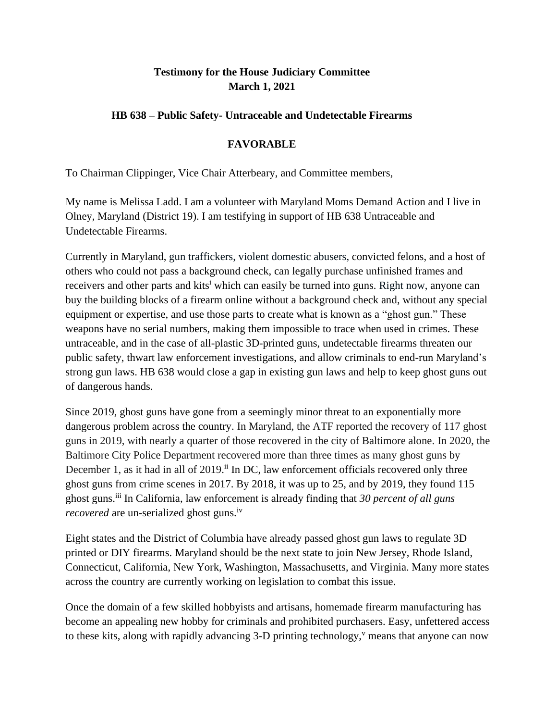## **Testimony for the House Judiciary Committee March 1, 2021**

## **HB 638 – Public Safety- Untraceable and Undetectable Firearms**

## **FAVORABLE**

To Chairman Clippinger, Vice Chair Atterbeary, and Committee members,

My name is Melissa Ladd. I am a volunteer with Maryland Moms Demand Action and I live in Olney, Maryland (District 19). I am testifying in support of HB 638 Untraceable and Undetectable Firearms.

Currently in Maryland, gun traffickers, violent domestic abusers, convicted felons, and a host of others who could not pass a background check, can legally purchase unfinished frames and receivers and other parts and kits<sup>i</sup> which can easily be turned into guns. Right now, anyone can buy the building blocks of a firearm online without a background check and, without any special equipment or expertise, and use those parts to create what is known as a "ghost gun." These weapons have no serial numbers, making them impossible to trace when used in crimes. These untraceable, and in the case of all-plastic 3D-printed guns, undetectable firearms threaten our public safety, thwart law enforcement investigations, and allow criminals to end-run Maryland's strong gun laws. HB 638 would close a gap in existing gun laws and help to keep ghost guns out of dangerous hands.

Since 2019, ghost guns have gone from a seemingly minor threat to an exponentially more dangerous problem across the country. In Maryland, the ATF reported the recovery of 117 ghost guns in 2019, with nearly a quarter of those recovered in the city of Baltimore alone. In 2020, the Baltimore City Police Department recovered more than three times as many ghost guns by December 1, as it had in all of  $2019$ .<sup>ii</sup> In DC, law enforcement officials recovered only three ghost guns from crime scenes in 2017. By 2018, it was up to 25, and by 2019, they found 115 ghost guns.iii In California, law enforcement is already finding that *30 percent of all guns recovered* are un-serialized ghost guns.<sup>iv</sup>

Eight states and the District of Columbia have already passed ghost gun laws to regulate 3D printed or DIY firearms. Maryland should be the next state to join New Jersey, Rhode Island, Connecticut, California, New York, Washington, Massachusetts, and Virginia. Many more states across the country are currently working on legislation to combat this issue.

Once the domain of a few skilled hobbyists and artisans, homemade firearm manufacturing has become an appealing new hobby for criminals and prohibited purchasers. Easy, unfettered access to these kits, along with rapidly advancing  $3-D$  printing technology,<sup> $\theta$ </sup> means that anyone can now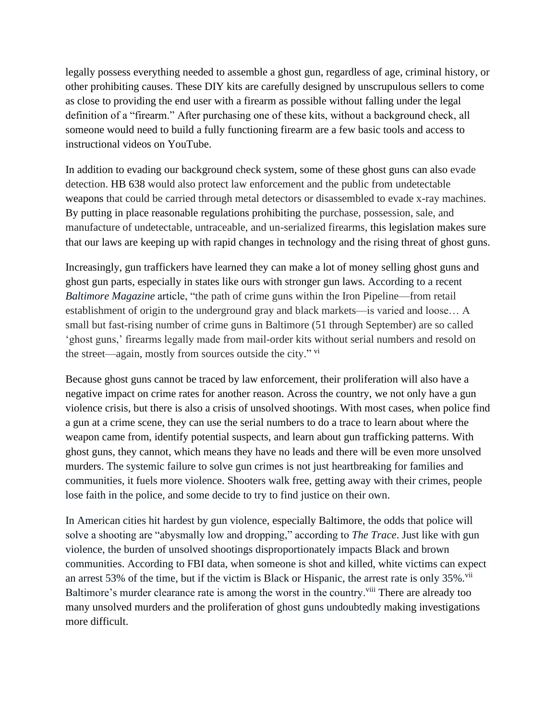legally possess everything needed to assemble a ghost gun, regardless of age, criminal history, or other prohibiting causes. These DIY kits are carefully designed by unscrupulous sellers to come as close to providing the end user with a firearm as possible without falling under the legal definition of a "firearm." After purchasing one of these kits, without a background check, all someone would need to build a fully functioning firearm are a few basic tools and access to instructional videos on YouTube.

In addition to evading our background check system, some of these ghost guns can also evade detection. HB 638 would also protect law enforcement and the public from undetectable weapons that could be carried through metal detectors or disassembled to evade x-ray machines. By putting in place reasonable regulations prohibiting the purchase, possession, sale, and manufacture of undetectable, untraceable, and un-serialized firearms, this legislation makes sure that our laws are keeping up with rapid changes in technology and the rising threat of ghost guns.

Increasingly, gun traffickers have learned they can make a lot of money selling ghost guns and ghost gun parts, especially in states like ours with stronger gun laws. According to a recent *Baltimore Magazine* article, "the path of crime guns within the Iron Pipeline—from retail establishment of origin to the underground gray and black markets—is varied and loose… A small but fast-rising number of crime guns in Baltimore (51 through September) are so called 'ghost guns,' firearms legally made from mail-order kits without serial numbers and resold on the street—again, mostly from sources outside the city." vi

Because ghost guns cannot be traced by law enforcement, their proliferation will also have a negative impact on crime rates for another reason. Across the country, we not only have a gun violence crisis, but there is also a crisis of unsolved shootings. With most cases, when police find a gun at a crime scene, they can use the serial numbers to do a trace to learn about where the weapon came from, identify potential suspects, and learn about gun trafficking patterns. With ghost guns, they cannot, which means they have no leads and there will be even more unsolved murders. The systemic failure to solve gun crimes is not just heartbreaking for families and communities, it fuels more violence. Shooters walk free, getting away with their crimes, people lose faith in the police, and some decide to try to find justice on their own.

In American cities hit hardest by gun violence, especially Baltimore, the odds that police will solve a shooting are "abysmally low and dropping," according to *The Trace*. Just like with gun violence, the burden of unsolved shootings disproportionately impacts Black and brown communities. According to FBI data, when someone is shot and killed, white victims can expect an arrest 53% of the time, but if the victim is Black or Hispanic, the arrest rate is only  $35\%$ . Baltimore's murder clearance rate is among the worst in the country.<sup>viii</sup> There are already too many unsolved murders and the proliferation of ghost guns undoubtedly making investigations more difficult.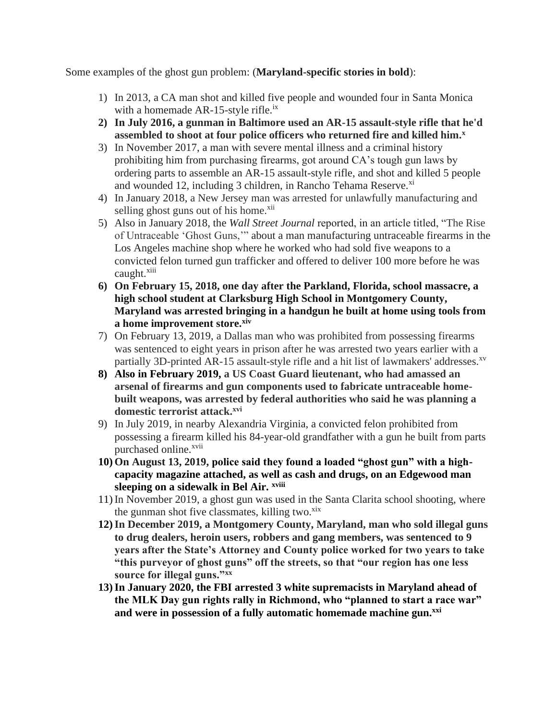Some examples of the ghost gun problem: (**Maryland-specific stories in bold**):

- 1) In 2013, a CA man shot and killed five people and wounded four in Santa Monica with a homemade  $AR-15$ -style rifle.<sup>ix</sup>
- **2) In July 2016, a gunman in Baltimore used an AR-15 assault-style rifle that he'd assembled to shoot at four police officers who returned fire and killed him.<sup>x</sup>**
- 3) In November 2017, a man with severe mental illness and a criminal history prohibiting him from purchasing firearms, got around CA's tough gun laws by ordering parts to assemble an AR-15 assault-style rifle, and shot and killed 5 people and wounded 12, including 3 children, in Rancho Tehama Reserve.<sup>xi</sup>
- 4) In January 2018, a New Jersey man was arrested for unlawfully manufacturing and selling ghost guns out of his home.<sup>xii</sup>
- 5) Also in January 2018, the *Wall Street Journal* reported, in an article titled, "The Rise of Untraceable 'Ghost Guns,'" about a man manufacturing untraceable firearms in the Los Angeles machine shop where he worked who had sold five weapons to a convicted felon turned gun trafficker and offered to deliver 100 more before he was caught.<sup>xiii</sup>
- **6) On February 15, 2018, one day after the Parkland, Florida, school massacre, a high school student at Clarksburg High School in Montgomery County, Maryland was arrested bringing in a handgun he built at home using tools from a home improvement store.xiv**
- 7) On February 13, 2019, a Dallas man who was prohibited from possessing firearms was sentenced to eight years in prison after he was arrested two years earlier with a partially 3D-printed AR-15 assault-style rifle and a hit list of lawmakers' addresses.<sup>xv</sup>
- **8) Also in February 2019, a US Coast Guard lieutenant, who had amassed an arsenal of firearms and gun components used to fabricate untraceable homebuilt weapons, was arrested by federal authorities who said he was planning a domestic terrorist attack.xvi**
- 9) In July 2019, in nearby Alexandria Virginia, a convicted felon prohibited from possessing a firearm killed his 84-year-old grandfather with a gun he built from parts purchased online.<sup>xvii</sup>
- **10) On August 13, 2019, police said they found a loaded "ghost gun" with a highcapacity magazine attached, as well as cash and drugs, on an Edgewood man sleeping on a sidewalk in Bel Air. xviii**
- 11) In November 2019, a ghost gun was used in the Santa Clarita school shooting, where the gunman shot five classmates, killing two. $\frac{x^{\frac{1}{x}}}{x^{\frac{1}{x}}}$
- **12)In December 2019, a Montgomery County, Maryland, man who sold illegal guns to drug dealers, heroin users, robbers and gang members, was sentenced to 9 years after the State's Attorney and County police worked for two years to take "this purveyor of ghost guns" off the streets, so that "our region has one less source for illegal guns."xx**
- **13)In January 2020, the FBI arrested 3 white supremacists in Maryland ahead of the MLK Day gun rights rally in Richmond, who "planned to start a race war" and were in possession of a fully automatic homemade machine gun.xxi**